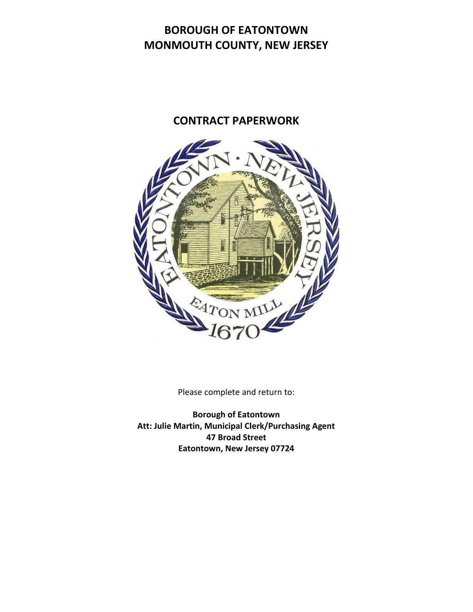# **BOROUGH OF EATONTOWN MONMOUTH COUNTY, NEW JERSEY**

# **CONTRACT PAPERWORK**



Please complete and return to:

**Borough of Eatontown Att: Julie Martin, Municipal Clerk/Purchasing Agent 47 Broad Street Eatontown, New Jersey 07724**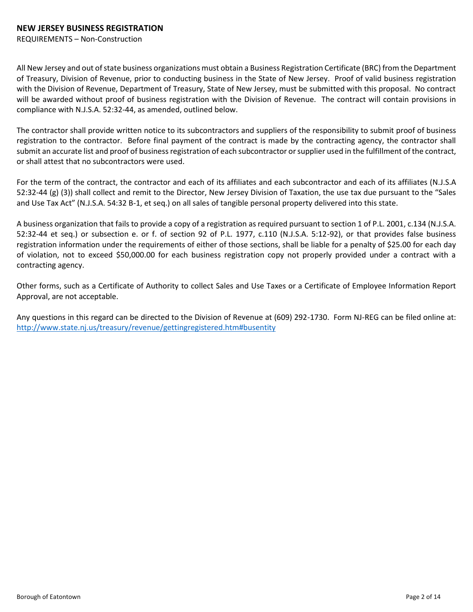#### **NEW JERSEY BUSINESS REGISTRATION**

REQUIREMENTS – Non-Construction

All New Jersey and out of state business organizations must obtain a Business Registration Certificate (BRC) from the Department of Treasury, Division of Revenue, prior to conducting business in the State of New Jersey. Proof of valid business registration with the Division of Revenue, Department of Treasury, State of New Jersey, must be submitted with this proposal. No contract will be awarded without proof of business registration with the Division of Revenue. The contract will contain provisions in compliance with N.J.S.A. 52:32-44, as amended, outlined below.

The contractor shall provide written notice to its subcontractors and suppliers of the responsibility to submit proof of business registration to the contractor. Before final payment of the contract is made by the contracting agency, the contractor shall submit an accurate list and proof of business registration of each subcontractor or supplier used in the fulfillment of the contract, or shall attest that no subcontractors were used.

For the term of the contract, the contractor and each of its affiliates and each subcontractor and each of its affiliates (N.J.S.A 52:32-44 (g) (3)) shall collect and remit to the Director, New Jersey Division of Taxation, the use tax due pursuant to the "Sales and Use Tax Act" (N.J.S.A. 54:32 B-1, et seq.) on all sales of tangible personal property delivered into this state.

A business organization that fails to provide a copy of a registration as required pursuant to section 1 of P.L. 2001, c.134 (N.J.S.A. 52:32-44 et seq.) or subsection e. or f. of section 92 of P.L. 1977, c.110 (N.J.S.A. 5:12-92), or that provides false business registration information under the requirements of either of those sections, shall be liable for a penalty of \$25.00 for each day of violation, not to exceed \$50,000.00 for each business registration copy not properly provided under a contract with a contracting agency.

Other forms, such as a Certificate of Authority to collect Sales and Use Taxes or a Certificate of Employee Information Report Approval, are not acceptable.

Any questions in this regard can be directed to the Division of Revenue at (609) 292-1730. Form NJ-REG can be filed online at: <http://www.state.nj.us/treasury/revenue/gettingregistered.htm#busentity>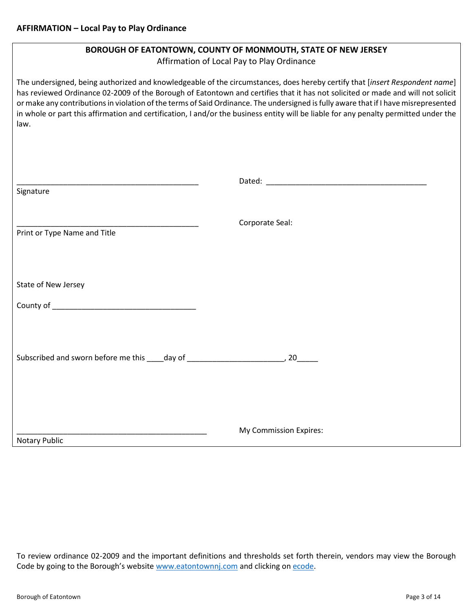| BOROUGH OF EATONTOWN, COUNTY OF MONMOUTH, STATE OF NEW JERSEY<br>Affirmation of Local Pay to Play Ordinance |                                                                                                                                                                                                                                                                                                                                                                                                                                                                                                                                               |  |  |  |  |  |  |
|-------------------------------------------------------------------------------------------------------------|-----------------------------------------------------------------------------------------------------------------------------------------------------------------------------------------------------------------------------------------------------------------------------------------------------------------------------------------------------------------------------------------------------------------------------------------------------------------------------------------------------------------------------------------------|--|--|--|--|--|--|
| law.                                                                                                        | The undersigned, being authorized and knowledgeable of the circumstances, does hereby certify that [insert Respondent name]<br>has reviewed Ordinance 02-2009 of the Borough of Eatontown and certifies that it has not solicited or made and will not solicit<br>or make any contributions in violation of the terms of Said Ordinance. The undersigned is fully aware that if I have misrepresented<br>in whole or part this affirmation and certification, I and/or the business entity will be liable for any penalty permitted under the |  |  |  |  |  |  |
|                                                                                                             |                                                                                                                                                                                                                                                                                                                                                                                                                                                                                                                                               |  |  |  |  |  |  |
| Signature                                                                                                   |                                                                                                                                                                                                                                                                                                                                                                                                                                                                                                                                               |  |  |  |  |  |  |
| Print or Type Name and Title                                                                                | Corporate Seal:                                                                                                                                                                                                                                                                                                                                                                                                                                                                                                                               |  |  |  |  |  |  |
| State of New Jersey                                                                                         |                                                                                                                                                                                                                                                                                                                                                                                                                                                                                                                                               |  |  |  |  |  |  |
|                                                                                                             |                                                                                                                                                                                                                                                                                                                                                                                                                                                                                                                                               |  |  |  |  |  |  |
| Subscribed and sworn before me this ____ day of _________________________________, 20_______                |                                                                                                                                                                                                                                                                                                                                                                                                                                                                                                                                               |  |  |  |  |  |  |
| <b>Notary Public</b>                                                                                        | My Commission Expires:                                                                                                                                                                                                                                                                                                                                                                                                                                                                                                                        |  |  |  |  |  |  |

To review ordinance 02-2009 and the important definitions and thresholds set forth therein, vendors may view the Borough Code by going to the Borough's website [www.eatontownnj.com](http://www.eatontownnj.com/) and clicking on [ecode.](file:///C:/Users/DeptClerk/Desktop/Chpt%2057%20Article%20II.pdf)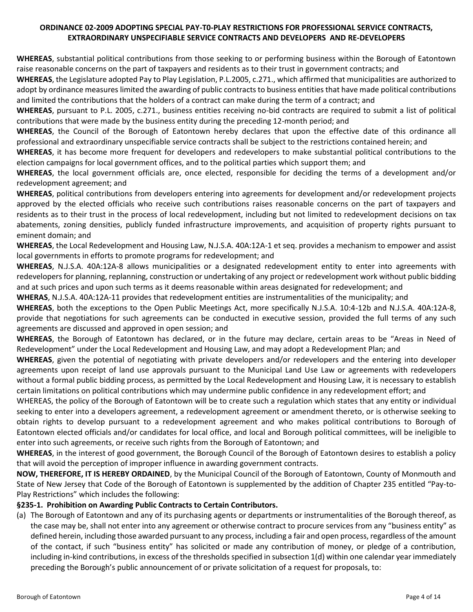# **ORDINANCE 02-2009 ADOPTING SPECIAL PAY-T0-PLAY RESTRICTIONS FOR PROFESSIONAL SERVICE CONTRACTS, EXTRAORDINARY UNSPECIFIABLE SERVICE CONTRACTS AND DEVELOPERS AND RE-DEVELOPERS**

**WHEREAS**, substantial political contributions from those seeking to or performing business within the Borough of Eatontown raise reasonable concerns on the part of taxpayers and residents as to their trust in government contracts; and

**WHEREAS**, the Legislature adopted Pay to Play Legislation, P.L.2005, c.271., which affirmed that municipalities are authorized to adopt by ordinance measures limited the awarding of public contracts to business entities that have made political contributions and limited the contributions that the holders of a contract can make during the term of a contract; and

**WHEREAS**, pursuant to P.L. 2005, c.271., business entities receiving no-bid contracts are required to submit a list of political contributions that were made by the business entity during the preceding 12-month period; and

**WHEREAS**, the Council of the Borough of Eatontown hereby declares that upon the effective date of this ordinance all professional and extraordinary unspecifiable service contracts shall be subject to the restrictions contained herein; and

**WHEREAS**, it has become more frequent for developers and redevelopers to make substantial political contributions to the election campaigns for local government offices, and to the political parties which support them; and

**WHEREAS**, the local government officials are, once elected, responsible for deciding the terms of a development and/or redevelopment agreement; and

**WHEREAS**, political contributions from developers entering into agreements for development and/or redevelopment projects approved by the elected officials who receive such contributions raises reasonable concerns on the part of taxpayers and residents as to their trust in the process of local redevelopment, including but not limited to redevelopment decisions on tax abatements, zoning densities, publicly funded infrastructure improvements, and acquisition of property rights pursuant to eminent domain; and

**WHEREAS**, the Local Redevelopment and Housing Law, N.J.S.A. 40A:12A-1 et seq. provides a mechanism to empower and assist local governments in efforts to promote programs for redevelopment; and

**WHEREAS**, N.J.S.A. 40A:12A-8 allows municipalities or a designated redevelopment entity to enter into agreements with redevelopers for planning, replanning, construction or undertaking of any project or redevelopment work without public bidding and at such prices and upon such terms as it deems reasonable within areas designated for redevelopment; and

**WHERAS**, N.J.S.A. 40A:12A-11 provides that redevelopment entities are instrumentalities of the municipality; and

**WHEREAS**, both the exceptions to the Open Public Meetings Act, more specifically N.J.S.A. 10:4-12b and N.J.S.A. 40A:12A-8, provide that negotiations for such agreements can be conducted in executive session, provided the full terms of any such agreements are discussed and approved in open session; and

**WHEREAS**, the Borough of Eatontown has declared, or in the future may declare, certain areas to be "Areas in Need of Redevelopment" under the Local Redevelopment and Housing Law, and may adopt a Redevelopment Plan; and

**WHEREAS**, given the potential of negotiating with private developers and/or redevelopers and the entering into developer agreements upon receipt of land use approvals pursuant to the Municipal Land Use Law or agreements with redevelopers without a formal public bidding process, as permitted by the Local Redevelopment and Housing Law, it is necessary to establish certain limitations on political contributions which may undermine public confidence in any redevelopment effort; and

WHEREAS, the policy of the Borough of Eatontown will be to create such a regulation which states that any entity or individual seeking to enter into a developers agreement, a redevelopment agreement or amendment thereto, or is otherwise seeking to obtain rights to develop pursuant to a redevelopment agreement and who makes political contributions to Borough of Eatontown elected officials and/or candidates for local office, and local and Borough political committees, will be ineligible to enter into such agreements, or receive such rights from the Borough of Eatontown; and

**WHEREAS**, in the interest of good government, the Borough Council of the Borough of Eatontown desires to establish a policy that will avoid the perception of improper influence in awarding government contracts.

**NOW, THEREFORE, IT IS HEREBY ORDAINED**, by the Municipal Council of the Borough of Eatontown, County of Monmouth and State of New Jersey that Code of the Borough of Eatontown is supplemented by the addition of Chapter 235 entitled "Pay-to-Play Restrictions" which includes the following:

# **§235-1. Prohibition on Awarding Public Contracts to Certain Contributors.**

(a) The Borough of Eatontown and any of its purchasing agents or departments or instrumentalities of the Borough thereof, as the case may be, shall not enter into any agreement or otherwise contract to procure services from any "business entity" as defined herein, including those awarded pursuant to any process, including a fair and open process, regardless of the amount of the contact, if such "business entity" has solicited or made any contribution of money, or pledge of a contribution, including in-kind contributions, in excess of the thresholds specified in subsection 1(d) within one calendar year immediately preceding the Borough's public announcement of or private solicitation of a request for proposals, to: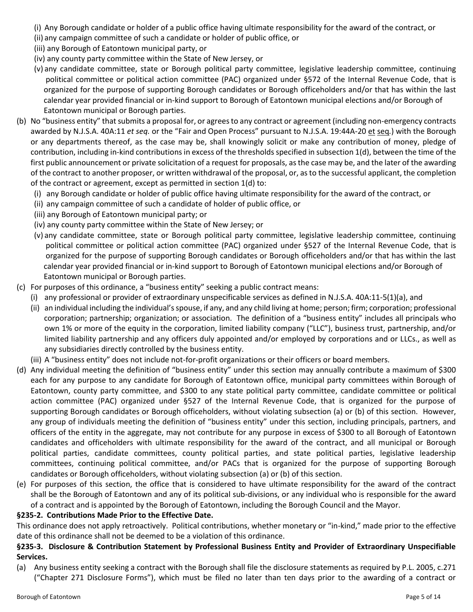- (i) Any Borough candidate or holder of a public office having ultimate responsibility for the award of the contract, or
- (ii) any campaign committee of such a candidate or holder of public office, or
- (iii) any Borough of Eatontown municipal party, or
- (iv) any county party committee within the State of New Jersey, or
- (v) any candidate committee, state or Borough political party committee, legislative leadership committee, continuing political committee or political action committee (PAC) organized under §572 of the Internal Revenue Code, that is organized for the purpose of supporting Borough candidates or Borough officeholders and/or that has within the last calendar year provided financial or in-kind support to Borough of Eatontown municipal elections and/or Borough of Eatontown municipal or Borough parties.
- (b) No "business entity" that submits a proposal for, or agrees to any contract or agreement (including non-emergency contracts awarded by N.J.S.A. 40A:11 *et seq.* or the "Fair and Open Process" pursuant to N.J.S.A. 19:44A-20 et seq*.*) with the Borough or any departments thereof, as the case may be, shall knowingly solicit or make any contribution of money, pledge of contribution, including in-kind contributions in excess of the thresholds specified in subsection 1(d), between the time of the first public announcement or private solicitation of a request for proposals, as the case may be, and the later of the awarding of the contract to another proposer, or written withdrawal of the proposal, or, as to the successful applicant, the completion of the contract or agreement, except as permitted in section 1(d) to:
	- (i) any Borough candidate or holder of public office having ultimate responsibility for the award of the contract, or
	- (ii) any campaign committee of such a candidate of holder of public office, or
	- (iii) any Borough of Eatontown municipal party; or
	- (iv) any county party committee within the State of New Jersey; or
	- (v) any candidate committee, state or Borough political party committee, legislative leadership committee, continuing political committee or political action committee (PAC) organized under §527 of the Internal Revenue Code, that is organized for the purpose of supporting Borough candidates or Borough officeholders and/or that has within the last calendar year provided financial or in-kind support to Borough of Eatontown municipal elections and/or Borough of Eatontown municipal or Borough parties.
- (c) For purposes of this ordinance, a "business entity" seeking a public contract means:
	- (i) any professional or provider of extraordinary unspecificable services as defined in N.J.S.A. 40A:11-5(1)(a), and
		- (ii) an individual including the individual's spouse, if any, and any child living at home; person; firm; corporation; professional corporation; partnership; organization; or association. The definition of a "business entity" includes all principals who own 1% or more of the equity in the corporation, limited liability company ("LLC"), business trust, partnership, and/or limited liability partnership and any officers duly appointed and/or employed by corporations and or LLCs., as well as any subsidiaries directly controlled by the business entity.
	- (iii) A "business entity" does not include not-for-profit organizations or their officers or board members.
- (d) Any individual meeting the definition of "business entity" under this section may annually contribute a maximum of \$300 each for any purpose to any candidate for Borough of Eatontown office, municipal party committees within Borough of Eatontown, county party committee, and \$300 to any state political party committee, candidate committee or political action committee (PAC) organized under §527 of the Internal Revenue Code, that is organized for the purpose of supporting Borough candidates or Borough officeholders, without violating subsection (a) or (b) of this section. However, any group of individuals meeting the definition of "business entity" under this section, including principals, partners, and officers of the entity in the aggregate, may not contribute for any purpose in excess of \$300 to all Borough of Eatontown candidates and officeholders with ultimate responsibility for the award of the contract, and all municipal or Borough political parties, candidate committees, county political parties, and state political parties, legislative leadership committees, continuing political committee, and/or PACs that is organized for the purpose of supporting Borough candidates or Borough officeholders, without violating subsection (a) or (b) of this section.
- (e) For purposes of this section, the office that is considered to have ultimate responsibility for the award of the contract shall be the Borough of Eatontown and any of its political sub-divisions, or any individual who is responsible for the award of a contract and is appointed by the Borough of Eatontown, including the Borough Council and the Mayor.

# **§235-2. Contributions Made Prior to the Effective Date.**

This ordinance does not apply retroactively. Political contributions, whether monetary or "in-kind," made prior to the effective date of this ordinance shall not be deemed to be a violation of this ordinance.

# **§235-3. Disclosure & Contribution Statement by Professional Business Entity and Provider of Extraordinary Unspecifiable Services.**

(a) Any business entity seeking a contract with the Borough shall file the disclosure statements as required by P.L. 2005, c.271 ("Chapter 271 Disclosure Forms"), which must be filed no later than ten days prior to the awarding of a contract or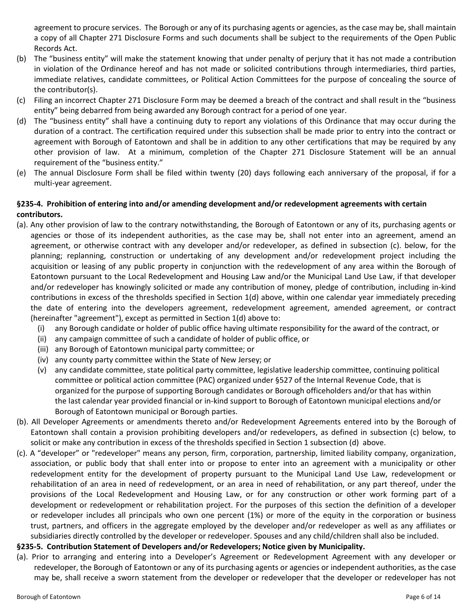agreement to procure services. The Borough or any of its purchasing agents or agencies, as the case may be, shall maintain a copy of all Chapter 271 Disclosure Forms and such documents shall be subject to the requirements of the Open Public Records Act.

- (b) The "business entity" will make the statement knowing that under penalty of perjury that it has not made a contribution in violation of the Ordinance hereof and has not made or solicited contributions through intermediaries, third parties, immediate relatives, candidate committees, or Political Action Committees for the purpose of concealing the source of the contributor(s).
- (c) Filing an incorrect Chapter 271 Disclosure Form may be deemed a breach of the contract and shall result in the "business entity" being debarred from being awarded any Borough contract for a period of one year.
- (d) The "business entity" shall have a continuing duty to report any violations of this Ordinance that may occur during the duration of a contract. The certification required under this subsection shall be made prior to entry into the contract or agreement with Borough of Eatontown and shall be in addition to any other certifications that may be required by any other provision of law. At a minimum, completion of the Chapter 271 Disclosure Statement will be an annual requirement of the "business entity."
- (e) The annual Disclosure Form shall be filed within twenty (20) days following each anniversary of the proposal, if for a multi-year agreement.

# **§235-4. Prohibition of entering into and/or amending development and/or redevelopment agreements with certain contributors.**

- (a). Any other provision of law to the contrary notwithstanding, the Borough of Eatontown or any of its, purchasing agents or agencies or those of its independent authorities, as the case may be, shall not enter into an agreement, amend an agreement, or otherwise contract with any developer and/or redeveloper, as defined in subsection (c). below, for the planning; replanning, construction or undertaking of any development and/or redevelopment project including the acquisition or leasing of any public property in conjunction with the redevelopment of any area within the Borough of Eatontown pursuant to the Local Redevelopment and Housing Law and/or the Municipal Land Use Law, if that developer and/or redeveloper has knowingly solicited or made any contribution of money, pledge of contribution, including in-kind contributions in excess of the thresholds specified in Section 1(d) above, within one calendar year immediately preceding the date of entering into the developers agreement, redevelopment agreement, amended agreement, or contract (hereinafter "agreement"), except as permitted in Section 1(d) above to:
	- (i) any Borough candidate or holder of public office having ultimate responsibility for the award of the contract, or
	- (ii) any campaign committee of such a candidate of holder of public office, or
	- (iii) any Borough of Eatontown municipal party committee; or
	- (iv) any county party committee within the State of New Jersey; or
	- (v) any candidate committee, state political party committee, legislative leadership committee, continuing political committee or political action committee (PAC) organized under §527 of the Internal Revenue Code, that is organized for the purpose of supporting Borough candidates or Borough officeholders and/or that has within the last calendar year provided financial or in-kind support to Borough of Eatontown municipal elections and/or Borough of Eatontown municipal or Borough parties.
- (b). All Developer Agreements or amendments thereto and/or Redevelopment Agreements entered into by the Borough of Eatontown shall contain a provision prohibiting developers and/or redevelopers, as defined in subsection (c) below, to solicit or make any contribution in excess of the thresholds specified in Section 1 subsection (d) above.
- (c). A "developer" or "redeveloper" means any person, firm, corporation, partnership, limited liability company, organization, association, or public body that shall enter into or propose to enter into an agreement with a municipality or other redevelopment entity for the development of property pursuant to the Municipal Land Use Law, redevelopment or rehabilitation of an area in need of redevelopment, or an area in need of rehabilitation, or any part thereof, under the provisions of the Local Redevelopment and Housing Law, or for any construction or other work forming part of a development or redevelopment or rehabilitation project. For the purposes of this section the definition of a developer or redeveloper includes all principals who own one percent (1%) or more of the equity in the corporation or business trust, partners, and officers in the aggregate employed by the developer and/or redeveloper as well as any affiliates or subsidiaries directly controlled by the developer or redeveloper. Spouses and any child/children shall also be included.

# **§235-5. Contribution Statement of Developers and/or Redevelopers; Notice given by Municipality.**

(a). Prior to arranging and entering into a Developer's Agreement or Redevelopment Agreement with any developer or redeveloper, the Borough of Eatontown or any of its purchasing agents or agencies or independent authorities, as the case may be, shall receive a sworn statement from the developer or redeveloper that the developer or redeveloper has not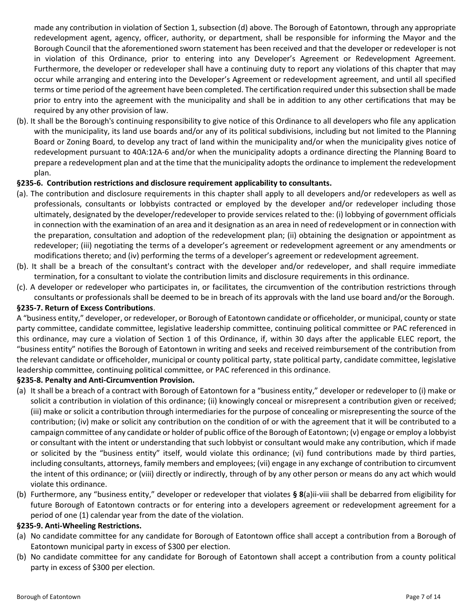made any contribution in violation of Section 1, subsection (d) above. The Borough of Eatontown, through any appropriate redevelopment agent, agency, officer, authority, or department, shall be responsible for informing the Mayor and the Borough Council that the aforementioned sworn statement has been received and that the developer or redeveloper is not in violation of this Ordinance, prior to entering into any Developer's Agreement or Redevelopment Agreement. Furthermore, the developer or redeveloper shall have a continuing duty to report any violations of this chapter that may occur while arranging and entering into the Developer's Agreement or redevelopment agreement, and until all specified terms or time period of the agreement have been completed. The certification required under this subsection shall be made prior to entry into the agreement with the municipality and shall be in addition to any other certifications that may be required by any other provision of law.

(b). It shall be the Borough's continuing responsibility to give notice of this Ordinance to all developers who file any application with the municipality, its land use boards and/or any of its political subdivisions, including but not limited to the Planning Board or Zoning Board, to develop any tract of land within the municipality and/or when the municipality gives notice of redevelopment pursuant to 40A:12A-6 and/or when the municipality adopts a ordinance directing the Planning Board to prepare a redevelopment plan and at the time that the municipality adopts the ordinance to implement the redevelopment plan.

# **§235-6. Contribution restrictions and disclosure requirement applicability to consultants.**

- (a). The contribution and disclosure requirements in this chapter shall apply to all developers and/or redevelopers as well as professionals, consultants or lobbyists contracted or employed by the developer and/or redeveloper including those ultimately, designated by the developer/redeveloper to provide services related to the: (i) lobbying of government officials in connection with the examination of an area and it designation as an area in need of redevelopment or in connection with the preparation, consultation and adoption of the redevelopment plan; (ii) obtaining the designation or appointment as redeveloper; (iii) negotiating the terms of a developer's agreement or redevelopment agreement or any amendments or modifications thereto; and (iv) performing the terms of a developer's agreement or redevelopment agreement.
- (b). It shall be a breach of the consultant's contract with the developer and/or redeveloper, and shall require immediate termination, for a consultant to violate the contribution limits and disclosure requirements in this ordinance.
- (c). A developer or redeveloper who participates in, or facilitates, the circumvention of the contribution restrictions through consultants or professionals shall be deemed to be in breach of its approvals with the land use board and/or the Borough.

#### **§235-7. Return of Excess Contributions**.

A "business entity," developer, or redeveloper, or Borough of Eatontown candidate or officeholder, or municipal, county or state party committee, candidate committee, legislative leadership committee, continuing political committee or PAC referenced in this ordinance, may cure a violation of Section 1 of this Ordinance, if, within 30 days after the applicable ELEC report, the "business entity" notifies the Borough of Eatontown in writing and seeks and received reimbursement of the contribution from the relevant candidate or officeholder, municipal or county political party, state political party, candidate committee, legislative leadership committee, continuing political committee, or PAC referenced in this ordinance.

#### **§235-8. Penalty and Anti-Circumvention Provision.**

- (a) It shall be a breach of a contract with Borough of Eatontown for a "business entity," developer or redeveloper to (i) make or solicit a contribution in violation of this ordinance; (ii) knowingly conceal or misrepresent a contribution given or received; (iii) make or solicit a contribution through intermediaries for the purpose of concealing or misrepresenting the source of the contribution; (iv) make or solicit any contribution on the condition of or with the agreement that it will be contributed to a campaign committee of any candidate or holder of public office of the Borough of Eatontown; (v) engage or employ a lobbyist or consultant with the intent or understanding that such lobbyist or consultant would make any contribution, which if made or solicited by the "business entity" itself, would violate this ordinance; (vi) fund contributions made by third parties, including consultants, attorneys, family members and employees; (vii) engage in any exchange of contribution to circumvent the intent of this ordinance; or (viii) directly or indirectly, through of by any other person or means do any act which would violate this ordinance.
- (b) Furthermore, any "business entity," developer or redeveloper that violates **§ 8**(a)ii-viii shall be debarred from eligibility for future Borough of Eatontown contracts or for entering into a developers agreement or redevelopment agreement for a period of one (1) calendar year from the date of the violation.

#### **§235-9. Anti-Wheeling Restrictions.**

- (a) No candidate committee for any candidate for Borough of Eatontown office shall accept a contribution from a Borough of Eatontown municipal party in excess of \$300 per election.
- (b) No candidate committee for any candidate for Borough of Eatontown shall accept a contribution from a county political party in excess of \$300 per election.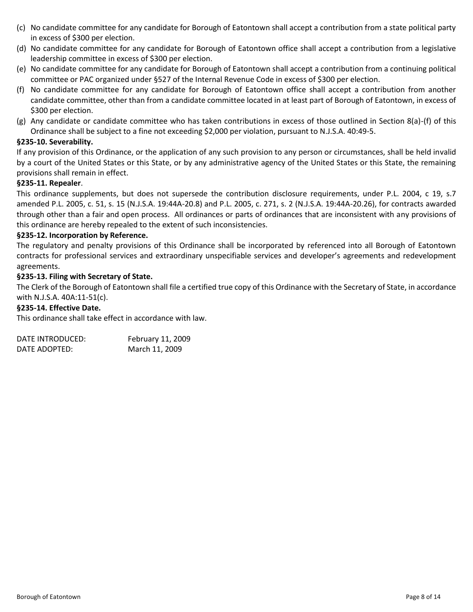- (c) No candidate committee for any candidate for Borough of Eatontown shall accept a contribution from a state political party in excess of \$300 per election.
- (d) No candidate committee for any candidate for Borough of Eatontown office shall accept a contribution from a legislative leadership committee in excess of \$300 per election.
- (e) No candidate committee for any candidate for Borough of Eatontown shall accept a contribution from a continuing political committee or PAC organized under §527 of the Internal Revenue Code in excess of \$300 per election.
- (f) No candidate committee for any candidate for Borough of Eatontown office shall accept a contribution from another candidate committee, other than from a candidate committee located in at least part of Borough of Eatontown, in excess of \$300 per election.
- (g) Any candidate or candidate committee who has taken contributions in excess of those outlined in Section 8(a)-(f) of this Ordinance shall be subject to a fine not exceeding \$2,000 per violation, pursuant to N.J.S.A. 40:49-5.

# **§235-10. Severability.**

If any provision of this Ordinance, or the application of any such provision to any person or circumstances, shall be held invalid by a court of the United States or this State, or by any administrative agency of the United States or this State, the remaining provisions shall remain in effect.

# **§235-11. Repealer**.

This ordinance supplements, but does not supersede the contribution disclosure requirements, under P.L. 2004, c 19, s.7 amended P.L. 2005, c. 51, s. 15 (N.J.S.A. 19:44A-20.8) and P.L. 2005, c. 271, s. 2 (N.J.S.A. 19:44A-20.26), for contracts awarded through other than a fair and open process. All ordinances or parts of ordinances that are inconsistent with any provisions of this ordinance are hereby repealed to the extent of such inconsistencies.

#### **§235-12. Incorporation by Reference.**

The regulatory and penalty provisions of this Ordinance shall be incorporated by referenced into all Borough of Eatontown contracts for professional services and extraordinary unspecifiable services and developer's agreements and redevelopment agreements.

#### **§235-13. Filing with Secretary of State.**

The Clerk of the Borough of Eatontown shall file a certified true copy of this Ordinance with the Secretary of State, in accordance with N.J.S.A. 40A:11-51(c).

#### **§235-14. Effective Date.**

This ordinance shall take effect in accordance with law.

| DATE INTRODUCED: | February 11, 2009 |
|------------------|-------------------|
| DATE ADOPTED:    | March 11, 2009    |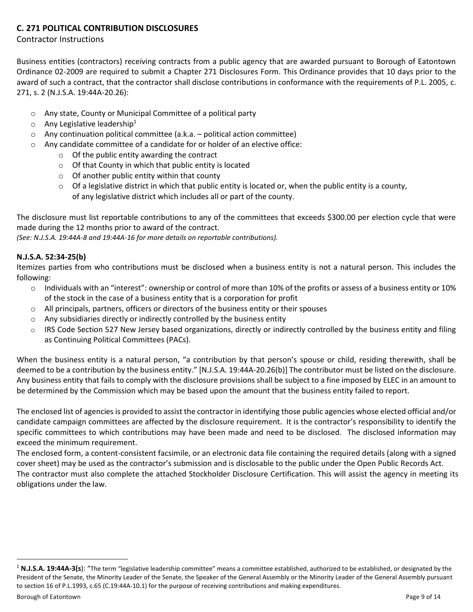# **C. 271 POLITICAL CONTRIBUTION DISCLOSURES**

# Contractor Instructions

Business entities (contractors) receiving contracts from a public agency that are awarded pursuant to Borough of Eatontown Ordinance 02-2009 are required to submit a Chapter 271 Disclosures Form. This Ordinance provides that 10 days prior to the award of such a contract, that the contractor shall disclose contributions in conformance with the requirements of P.L. 2005, c. 271, s. 2 (N.J.S.A. 19:44A-20.26):

- o Any state, County or Municipal Committee of a political party
- $\circ$  Any Legislative leadership<sup>1</sup>
- $\circ$  Any continuation political committee (a.k.a. political action committee)
- o Any candidate committee of a candidate for or holder of an elective office:
	- o Of the public entity awarding the contract
	- o Of that County in which that public entity is located
	- $\circ$  Of another public entity within that county
	- $\circ$  Of a legislative district in which that public entity is located or, when the public entity is a county, of any legislative district which includes all or part of the county.

The disclosure must list reportable contributions to any of the committees that exceeds \$300.00 per election cycle that were made during the 12 months prior to award of the contract.

*(See: N.J.S.A. 19:44A-8 and 19:44A-16 for more details on reportable contributions).*

# **N.J.S.A. 52:34-25(b)**

Itemizes parties from who contributions must be disclosed when a business entity is not a natural person. This includes the following:

- o Individuals with an "interest": ownership or control of more than 10% of the profits or assess of a business entity or 10% of the stock in the case of a business entity that is a corporation for profit
- $\circ$  All principals, partners, officers or directors of the business entity or their spouses
- o Any subsidiaries directly or indirectly controlled by the business entity
- $\circ$  IRS Code Section 527 New Jersey based organizations, directly or indirectly controlled by the business entity and filing as Continuing Political Committees (PACs).

When the business entity is a natural person, "a contribution by that person's spouse or child, residing therewith, shall be deemed to be a contribution by the business entity." [N.J.S.A. 19:44A-20.26(b)] The contributor must be listed on the disclosure. Any business entity that fails to comply with the disclosure provisions shall be subject to a fine imposed by ELEC in an amount to be determined by the Commission which may be based upon the amount that the business entity failed to report.

The enclosed list of agencies is provided to assist the contractor in identifying those public agencies whose elected official and/or candidate campaign committees are affected by the disclosure requirement. It is the contractor's responsibility to identify the specific committees to which contributions may have been made and need to be disclosed. The disclosed information may exceed the minimum requirement.

The enclosed form, a content-consistent facsimile, or an electronic data file containing the required details (along with a signed cover sheet) may be used as the contractor's submission and is disclosable to the public under the Open Public Records Act. The contractor must also complete the attached Stockholder Disclosure Certification. This will assist the agency in meeting its obligations under the law.

 $\overline{a}$ 

<sup>&</sup>lt;sup>1</sup> N.J.S.A. 19:44A-3(s): "The term "legislative leadership committee" means a committee established, authorized to be established, or designated by the President of the Senate, the Minority Leader of the Senate, the Speaker of the General Assembly or the Minority Leader of the General Assembly pursuant to section 16 of P.L.1993, c.65 (C.19:44A-10.1) for the purpose of receiving contributions and making expenditures.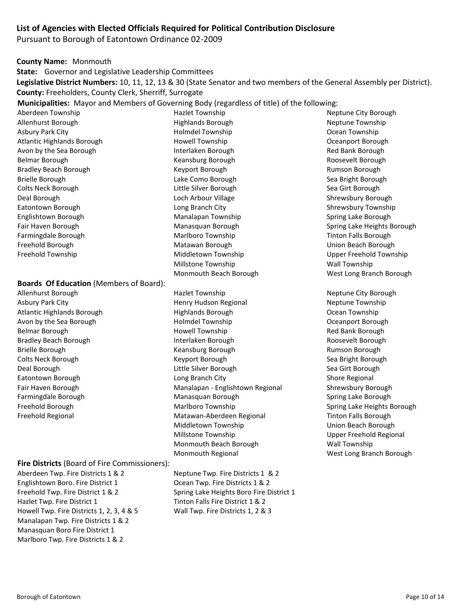# **List of Agencies with Elected Officials Required for Political Contribution Disclosure**

Pursuant to Borough of Eatontown Ordinance 02-2009

**County Name:** Monmouth

**State:** Governor and Legislative Leadership Committees

**Legislative District Numbers:** 10, 11, 12, 13 & 30 (State Senator and two members of the General Assembly per District). **County:** Freeholders, County Clerk, Sherriff, Surrogate

**Municipalities:** Mayor and Members of Governing Body (regardless of title) of the following:

Aberdeen Township **Aberdeen Township Hazlet Township** Neptune City Borough

#### **Boards Of Education** (Members of Board):

# **Fire Districts** (Board of Fire Commissioners):

Aberdeen Twp. Fire Districts 1 & 2 Neptune Twp. Fire Districts 1 & 2 Englishtown Boro. Fire District 1 Coean Twp. Fire Districts 1 & 2 Freehold Twp. Fire District 1 & 2 Spring Lake Heights Boro Fire District 1 Hazlet Twp. Fire District 1 Maxlet Twp. Fire District 1 & 2 Howell Twp. Fire Districts 1, 2, 3, 4 & 5 Wall Twp. Fire Districts 1, 2 & 3 Manalapan Twp. Fire Districts 1 & 2 Manasquan Boro Fire District 1 Marlboro Twp. Fire Districts 1 & 2

Allenhurst Borough Highlands Borough Neptune Township Asbury Park City **Assume City Constructs** Holmdel Township **Constructs** Ocean Township Atlantic Highlands Borough Transies and Howell Township Communications of the Oceanport Borough Avon by the Sea Borough **Interlaken Borough** Interlaken Borough Red Bank Borough Belmar Borough Keansburg Borough Roosevelt Borough Bradley Beach Borough The Rumson Borough Keyport Borough The Rumson Borough Rumson Borough Brielle Borough **Sea Bright Borough Sea Bright Borough** Como Borough Sea Bright Borough Colts Neck Borough **Colts Neck Borough** Colts Neck Borough Colts Neck Borough Sea Girt Borough Deal Borough Loch Arbour Village Shrewsbury Borough Eatontown Borough **Eatontown Borough Communist Communist Communist Communist Communist Communist Communist Communist Communist Communist Communist Communist Communist Communist Communist Communist Communist Communist Commu** Englishtown Borough **Manalapan Township** Manalapan Township Spring Lake Borough Farmingdale Borough The Marlboro Township The Tinton Falls Borough Tinton Falls Borough Freehold Borough Matawan Borough Union Beach Borough Freehold Township **Freehold Township** Middletown Township Upper Freehold Township Millstone Township Wall Township Monmouth Beach Borough West Long Branch Borough

Allenhurst Borough **Nazlet Township Neptune City Borough** Neptune City Borough Asbury Park City **Mark City Constructs Assume Township** Henry Hudson Regional Neptune Township Atlantic Highlands Borough Highlands Borough Ocean Township Avon by the Sea Borough The Season Control of Holmdel Township Control of the Season Oceanport Borough Belmar Borough **Howell Township Red Bank Borough** Red Bank Borough Bradley Beach Borough Interlaken Borough Roosevelt Borough Brielle Borough **Keansburg Borough** Rumson Borough Rumson Borough **Rumson Borough** Colts Neck Borough The Colts Neck Borough Sea Bright Borough Sea Bright Borough Sea Bright Borough Deal Borough **Sea Girt Borough Communist Communist Communist Communist Communist Communist Communist Communist Communist Communist Communist Communist Communist Communist Communist Communist Communist Communist Communist C** Eatontown Borough **Long Branch City** Shore Regional Eatontown Borough Shore Regional Fair Haven Borough **Manalapan - Englishtown Regional** Shrewsbury Borough Farmingdale Borough **Manasquan Borough Spring Lake Borough** Spring Lake Borough Spring Lake Borough Freehold Borough **Marlboro Township Spring Lake Heights Borough** Spring Lake Heights Borough Freehold Regional **Matawan-Aberdeen Regional** Tinton Falls Borough Communism Communism Communism Communism Commun Middletown Township **Nicklary Contract Contract Contract Contract Contract Contract Contract Contract Contract Contract Contract Contract Contract Contract Contract Contract Contract Contract Contract Contract Contract Con** Millstone Township Communication and Millstone Township Monmouth Beach Borough Wall Township Monmouth Regional West Long Branch Borough

Fair Haven Borough **Manasquan Borough Spring Lake Heights Borough** Spring Lake Heights Borough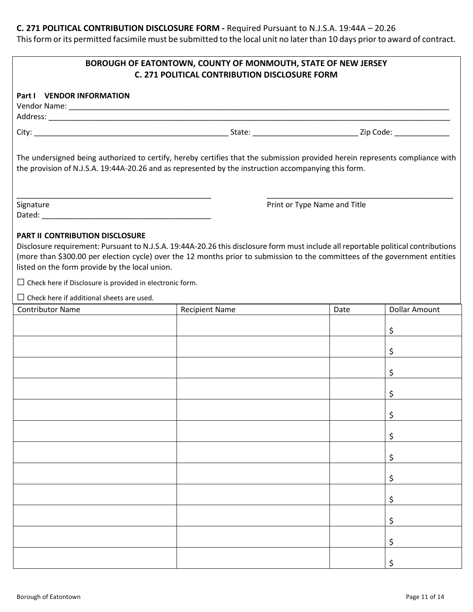# **C. 271 POLITICAL CONTRIBUTION DISCLOSURE FORM -** Required Pursuant to N.J.S.A. 19:44A – 20.26

This form or its permitted facsimile must be submitted to the local unit no later than 10 days prior to award of contract.

| <b>BOROUGH OF EATONTOWN, COUNTY OF MONMOUTH, STATE OF NEW JERSEY</b><br><b>C. 271 POLITICAL CONTRIBUTION DISCLOSURE FORM</b>                                                                                                                                                                                                                           |                       |      |                      |  |  |  |  |
|--------------------------------------------------------------------------------------------------------------------------------------------------------------------------------------------------------------------------------------------------------------------------------------------------------------------------------------------------------|-----------------------|------|----------------------|--|--|--|--|
| Part I VENDOR INFORMATION                                                                                                                                                                                                                                                                                                                              |                       |      |                      |  |  |  |  |
|                                                                                                                                                                                                                                                                                                                                                        |                       |      |                      |  |  |  |  |
| The undersigned being authorized to certify, hereby certifies that the submission provided herein represents compliance with<br>the provision of N.J.S.A. 19:44A-20.26 and as represented by the instruction accompanying this form.                                                                                                                   |                       |      |                      |  |  |  |  |
| Signature<br>Print or Type Name and Title                                                                                                                                                                                                                                                                                                              |                       |      |                      |  |  |  |  |
|                                                                                                                                                                                                                                                                                                                                                        |                       |      |                      |  |  |  |  |
| PART II CONTRIBUTION DISCLOSURE<br>Disclosure requirement: Pursuant to N.J.S.A. 19:44A-20.26 this disclosure form must include all reportable political contributions<br>(more than \$300.00 per election cycle) over the 12 months prior to submission to the committees of the government entities<br>listed on the form provide by the local union. |                       |      |                      |  |  |  |  |
| $\Box$ Check here if Disclosure is provided in electronic form.                                                                                                                                                                                                                                                                                        |                       |      |                      |  |  |  |  |
| $\Box$ Check here if additional sheets are used.<br><b>Contributor Name</b>                                                                                                                                                                                                                                                                            | <b>Recipient Name</b> | Date | <b>Dollar Amount</b> |  |  |  |  |
|                                                                                                                                                                                                                                                                                                                                                        |                       |      |                      |  |  |  |  |
|                                                                                                                                                                                                                                                                                                                                                        |                       |      | \$                   |  |  |  |  |
|                                                                                                                                                                                                                                                                                                                                                        |                       |      | \$                   |  |  |  |  |
|                                                                                                                                                                                                                                                                                                                                                        |                       |      | \$                   |  |  |  |  |
|                                                                                                                                                                                                                                                                                                                                                        |                       |      | \$                   |  |  |  |  |
|                                                                                                                                                                                                                                                                                                                                                        |                       |      | \$                   |  |  |  |  |
|                                                                                                                                                                                                                                                                                                                                                        |                       |      | \$                   |  |  |  |  |
|                                                                                                                                                                                                                                                                                                                                                        |                       |      | \$                   |  |  |  |  |
|                                                                                                                                                                                                                                                                                                                                                        |                       |      | \$                   |  |  |  |  |
|                                                                                                                                                                                                                                                                                                                                                        |                       |      | \$                   |  |  |  |  |
|                                                                                                                                                                                                                                                                                                                                                        |                       |      | \$                   |  |  |  |  |
|                                                                                                                                                                                                                                                                                                                                                        |                       |      | \$                   |  |  |  |  |
|                                                                                                                                                                                                                                                                                                                                                        |                       |      | \$                   |  |  |  |  |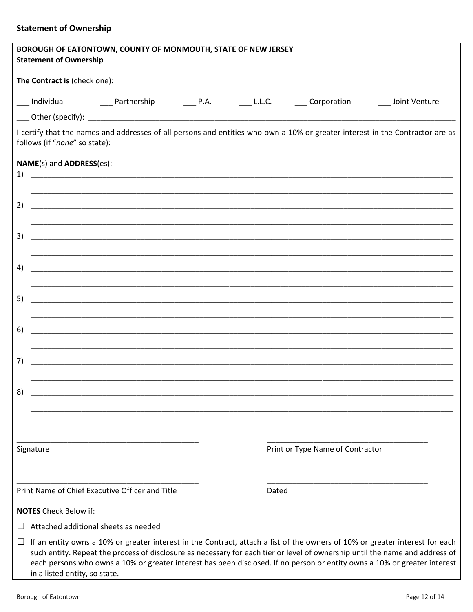# **Statement of Ownership**

|                              | <b>Statement of Ownership</b> | BOROUGH OF EATONTOWN, COUNTY OF MONMOUTH, STATE OF NEW JERSEY |  |       |                                                                                                                      |                                                                                                                                                                                                                                                                                                                                                                                           |
|------------------------------|-------------------------------|---------------------------------------------------------------|--|-------|----------------------------------------------------------------------------------------------------------------------|-------------------------------------------------------------------------------------------------------------------------------------------------------------------------------------------------------------------------------------------------------------------------------------------------------------------------------------------------------------------------------------------|
|                              | The Contract is (check one):  |                                                               |  |       |                                                                                                                      |                                                                                                                                                                                                                                                                                                                                                                                           |
|                              |                               |                                                               |  |       |                                                                                                                      |                                                                                                                                                                                                                                                                                                                                                                                           |
|                              |                               |                                                               |  |       |                                                                                                                      |                                                                                                                                                                                                                                                                                                                                                                                           |
|                              | follows (if "none" so state): |                                                               |  |       |                                                                                                                      | I certify that the names and addresses of all persons and entities who own a 10% or greater interest in the Contractor are as                                                                                                                                                                                                                                                             |
|                              | NAME(s) and ADDRESS(es):      |                                                               |  |       |                                                                                                                      |                                                                                                                                                                                                                                                                                                                                                                                           |
| 2)                           |                               |                                                               |  |       |                                                                                                                      |                                                                                                                                                                                                                                                                                                                                                                                           |
| 3)                           |                               |                                                               |  |       |                                                                                                                      |                                                                                                                                                                                                                                                                                                                                                                                           |
| 4)                           |                               |                                                               |  |       |                                                                                                                      |                                                                                                                                                                                                                                                                                                                                                                                           |
| 5)                           |                               |                                                               |  |       |                                                                                                                      |                                                                                                                                                                                                                                                                                                                                                                                           |
| 6)                           |                               |                                                               |  |       |                                                                                                                      |                                                                                                                                                                                                                                                                                                                                                                                           |
| 7)                           |                               |                                                               |  |       | <u> 2000 - Januar Amerikaanse konstantinoplantinoplantinoplantinoplantinoplantinoplantinoplantinoplantinoplantin</u> |                                                                                                                                                                                                                                                                                                                                                                                           |
| 8)                           |                               |                                                               |  |       |                                                                                                                      |                                                                                                                                                                                                                                                                                                                                                                                           |
|                              |                               |                                                               |  |       |                                                                                                                      |                                                                                                                                                                                                                                                                                                                                                                                           |
| Signature                    |                               |                                                               |  |       | Print or Type Name of Contractor                                                                                     |                                                                                                                                                                                                                                                                                                                                                                                           |
|                              |                               | Print Name of Chief Executive Officer and Title               |  | Dated |                                                                                                                      |                                                                                                                                                                                                                                                                                                                                                                                           |
| <b>NOTES</b> Check Below if: |                               |                                                               |  |       |                                                                                                                      |                                                                                                                                                                                                                                                                                                                                                                                           |
|                              |                               | Attached additional sheets as needed                          |  |       |                                                                                                                      |                                                                                                                                                                                                                                                                                                                                                                                           |
| ப                            | in a listed entity, so state. |                                                               |  |       |                                                                                                                      | If an entity owns a 10% or greater interest in the Contract, attach a list of the owners of 10% or greater interest for each<br>such entity. Repeat the process of disclosure as necessary for each tier or level of ownership until the name and address of<br>each persons who owns a 10% or greater interest has been disclosed. If no person or entity owns a 10% or greater interest |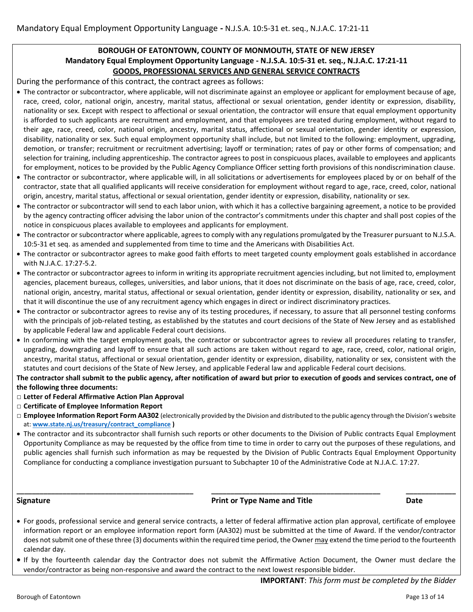# **BOROUGH OF EATONTOWN, COUNTY OF MONMOUTH, STATE OF NEW JERSEY Mandatory Equal Employment Opportunity Language - N.J.S.A. 10:5-31 et. seq., N.J.A.C. 17:21-11 GOODS, PROFESSIONAL SERVICES AND GENERAL SERVICE CONTRACTS**

During the performance of this contract, the contract agrees as follows:

- The contractor or subcontractor, where applicable, will not discriminate against an employee or applicant for employment because of age, race, creed, color, national origin, ancestry, marital status, affectional or sexual orientation, gender identity or expression, disability, nationality or sex. Except with respect to affectional or sexual orientation, the contractor will ensure that equal employment opportunity is afforded to such applicants are recruitment and employment, and that employees are treated during employment, without regard to their age, race, creed, color, national origin, ancestry, marital status, affectional or sexual orientation, gender identity or expression, disability, nationality or sex. Such equal employment opportunity shall include, but not limited to the following: employment, upgrading, demotion, or transfer; recruitment or recruitment advertising; layoff or termination; rates of pay or other forms of compensation; and selection for training, including apprenticeship. The contractor agrees to post in conspicuous places, available to employees and applicants for employment, notices to be provided by the Public Agency Compliance Officer setting forth provisions of this nondiscrimination clause.
- The contractor or subcontractor, where applicable will, in all solicitations or advertisements for employees placed by or on behalf of the contractor, state that all qualified applicants will receive consideration for employment without regard to age, race, creed, color, national origin, ancestry, marital status, affectional or sexual orientation, gender identity or expression, disability, nationality or sex.
- The contractor or subcontractor will send to each labor union, with which it has a collective bargaining agreement, a notice to be provided by the agency contracting officer advising the labor union of the contractor's commitments under this chapter and shall post copies of the notice in conspicuous places available to employees and applicants for employment.
- The contractor or subcontractor where applicable, agrees to comply with any regulations promulgated by the Treasurer pursuant to N.J.S.A. 10:5-31 et seq. as amended and supplemented from time to time and the Americans with Disabilities Act.
- The contractor or subcontractor agrees to make good faith efforts to meet targeted county employment goals established in accordance with N.J.A.C. 17:27-5.2.
- The contractor or subcontractor agrees to inform in writing its appropriate recruitment agencies including, but not limited to, employment agencies, placement bureaus, colleges, universities, and labor unions, that it does not discriminate on the basis of age, race, creed, color, national origin, ancestry, marital status, affectional or sexual orientation, gender identity or expression, disability, nationality or sex, and that it will discontinue the use of any recruitment agency which engages in direct or indirect discriminatory practices.
- The contractor or subcontractor agrees to revise any of its testing procedures, if necessary, to assure that all personnel testing conforms with the principals of job-related testing, as established by the statutes and court decisions of the State of New Jersey and as established by applicable Federal law and applicable Federal court decisions.
- In conforming with the target employment goals, the contractor or subcontractor agrees to review all procedures relating to transfer, upgrading, downgrading and layoff to ensure that all such actions are taken without regard to age, race, creed, color, national origin, ancestry, marital status, affectional or sexual orientation, gender identity or expression, disability, nationality or sex, consistent with the statutes and court decisions of the State of New Jersey, and applicable Federal law and applicable Federal court decisions.

**The contractor shall submit to the public agency, after notification of award but prior to execution of goods and services contract, one of the following three documents:**

- □ **Letter of Federal Affirmative Action Plan Approval**
- □ **Certificate of Employee Information Report**
- □ **Employee Information Report Form AA302** (electronically provided by the Division and distributed to the public agency through the Division's website at: **[www.state.nj.us/treasury/contract\\_compliance](http://www.state.nj.us/treasury/contract_compliance) )**
- The contractor and its subcontractor shall furnish such reports or other documents to the Division of Public contracts Equal Employment Opportunity Compliance as may be requested by the office from time to time in order to carry out the purposes of these regulations, and public agencies shall furnish such information as may be requested by the Division of Public Contracts Equal Employment Opportunity Compliance for conducting a compliance investigation pursuant to Subchapter 10 of the Administrative Code at N.J.A.C. 17:27.

**\_\_\_\_\_\_\_\_\_\_\_\_\_\_\_\_\_\_\_\_\_\_\_\_\_\_\_\_\_\_\_\_\_\_\_\_\_\_\_\_\_\_\_\_\_\_ \_\_\_\_\_\_\_\_\_\_\_\_\_\_\_\_\_\_\_\_\_\_\_\_\_\_\_\_\_\_\_\_\_\_\_\_\_\_\_\_\_\_\_\_ \_\_\_\_\_\_\_\_\_\_\_\_\_**

#### **Signature Print or Type Name and Title Date** Date Date

- For goods, professional service and general service contracts, a letter of federal affirmative action plan approval, certificate of employee information report or an employee information report form (AA302) must be submitted at the time of Award. If the vendor/contractor does not submit one of these three (3) documents within the required time period, the Owner may extend the time period to the fourteenth calendar day.
- If by the fourteenth calendar day the Contractor does not submit the Affirmative Action Document, the Owner must declare the vendor/contractor as being non-responsive and award the contract to the next lowest responsible bidder.

**IMPORTANT**: *This form must be completed by the Bidder*